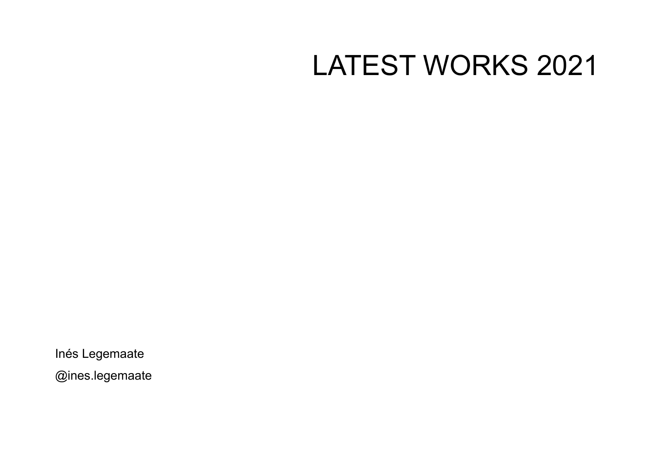## LATEST WORKS 2021

Inés Legemaate

[@ines.legemaate](https://www.instagram.com/ines.legemaate/)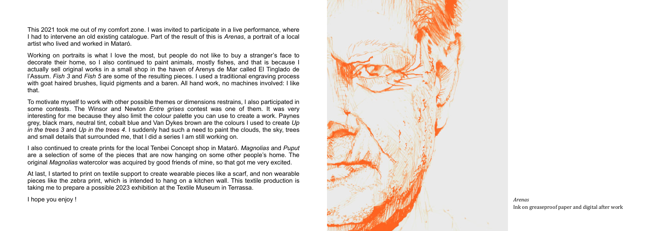*Arenas* Ink on greaseproof paper and digital after work

This 2021 took me out of my comfort zone. I was invited to participate in a live performance, where I had to intervene an old existing catalogue. Part of the result of this is *Arenas*, a portrait of a local artist who lived and worked in Mataró.

Working on portraits is what I love the most, but people do not like to buy a stranger's face to decorate their home, so I also continued to paint animals, mostly fishes, and that is because I actually sell original works in a small shop in the haven of Arenys de Mar called [El Tinglado de](https://www.instagram.com/tinglado.assum/) [l'Assum](https://www.instagram.com/tinglado.assum/) . *Fish 3* and *Fish 5* are some of the resulting pieces. I used a traditional engraving process with goat haired brushes, liquid pigments and a [baren.](https://youtu.be/5kxh6Jnp6uI) All hand work, no machines involved: I like that.

To motivate myself to work with other possible themes or dimensions restrains, I also participated in some contests. The Winsor and Newton *Entre grises* contest was one of them. It was very interesting for me because they also limit the colour palette you can use to create a work. Paynes grey, black mars, neutral tint, cobalt blue and Van Dykes brown are the colours I used to create *Up in the trees 3* and *Up in the trees 4*. I suddenly had such a need to paint the clouds, the sky, trees and small details that surrounded me, that I did a series I am still working on.

I also continued to create prints for the local [Tenbei Concept shop](https://www.instagram.com/tenbeiconcept/) in Mataró. *Magnolias* and *Puput* are a selection of some of the pieces that are now hanging on some other people's home. The original *Magnolias* watercolor was acquired by good friends of mine, so that got me very excited.

At last, I started to print on textile support to create wearable pieces like a scarf, and non wearable pieces like the zebra print, which is intended to hang on a kitchen wall. This textile production is taking me to prepare a possible 2023 exhibition at the Textile Museum in Terrassa.

I hope you enjoy !

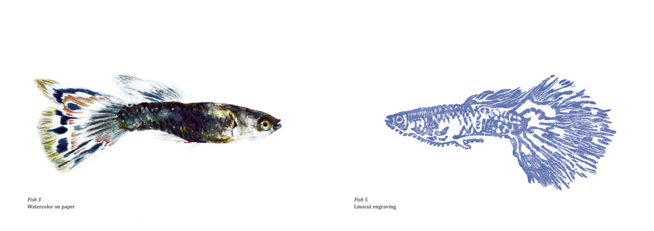

 $\sim 10^{-11}$ 

*Fish 3* Watercolor on paper

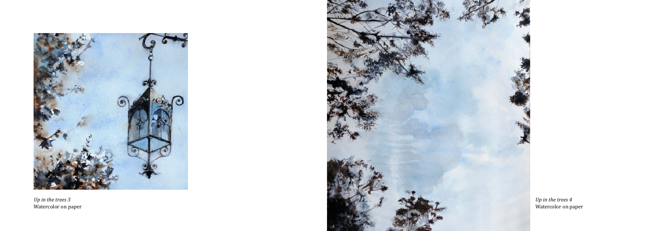

*Up in the trees 3* Watercolor on paper



*Up in the trees 4* Watercolor on paper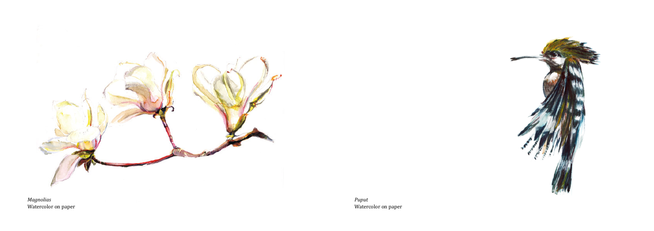

Watercolor on paper



*Puput* Watercolor on paper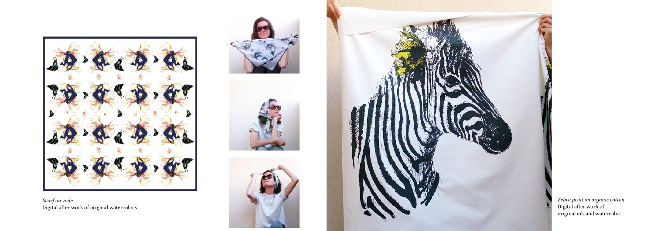

*Scarf on voile* Digital after work of original watercolors









*Zebra print on organic cotton* Digital after work of original ink and watercolor